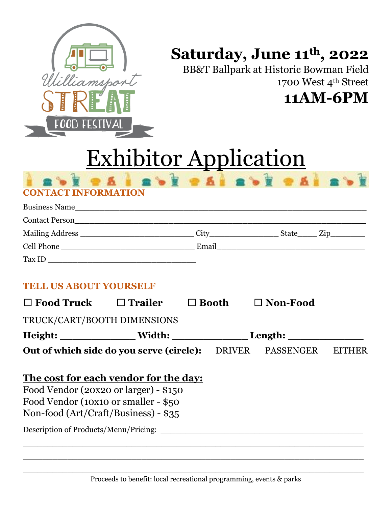

## **Saturday, June 11th , 2022**

BB&T Ballpark at Historic Bowman Field 1700 West 4th Street **11AM-6PM**

# Exhibitor Application

| I ROY O A I ROY O AI ROY O AI ROY |  |  |  |
|-----------------------------------|--|--|--|
| <b>CONTACT INFORMATION</b>        |  |  |  |

| <b>Business Name</b>  |       |       |  |
|-----------------------|-------|-------|--|
| <b>Contact Person</b> |       |       |  |
| Mailing Address       | City  | State |  |
| Cell Phone            | Email |       |  |
| Tax ID                |       |       |  |

### **TELL US ABOUT YOURSELF**

| $\square$ Food Truck                                                                                                                                                                                     | $\Box$ Trailer | Booth         | $\Box$ Non-Food                                                                                                                                                                                                                     |    |
|----------------------------------------------------------------------------------------------------------------------------------------------------------------------------------------------------------|----------------|---------------|-------------------------------------------------------------------------------------------------------------------------------------------------------------------------------------------------------------------------------------|----|
| TRUCK/CART/BOOTH DIMENSIONS                                                                                                                                                                              |                |               |                                                                                                                                                                                                                                     |    |
|                                                                                                                                                                                                          |                |               | Length: <u>United</u> States of the Second States and Second States and Second States and Second States and Second States and Second States and Second States and Second States and Second States and Second States and Second Stat |    |
| Out of which side do you serve (circle):                                                                                                                                                                 |                | <b>DRIVER</b> | <b>PASSENGER</b>                                                                                                                                                                                                                    | E. |
| The cost for each vendor for the day:<br>Food Vendor (20x20 or larger) - $$150$<br>Food Vendor (10x10 or smaller - \$50<br>Non-food (Art/Craft/Business) - \$35<br>Description of Products/Menu/Pricing: |                |               |                                                                                                                                                                                                                                     |    |

\_\_\_\_\_\_\_\_\_\_\_\_\_\_\_\_\_\_\_\_\_\_\_\_\_\_\_\_\_\_\_\_\_\_\_\_\_\_\_\_\_\_\_\_\_\_\_\_\_\_\_\_\_\_\_\_\_\_\_\_\_\_\_\_\_\_\_\_\_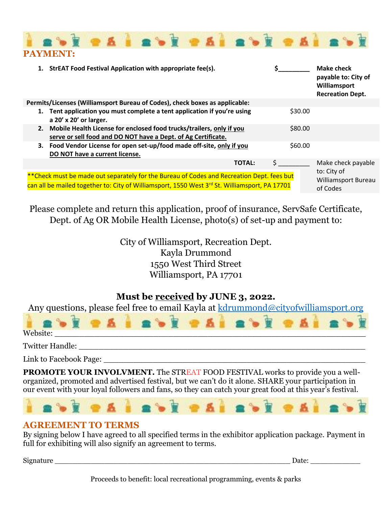

| 1. StrEAT Food Festival Application with appropriate fee(s).                                                                                                                                |                                                | Make check<br>payable to: City of<br>Williamsport<br><b>Recreation Dept.</b> |  |
|---------------------------------------------------------------------------------------------------------------------------------------------------------------------------------------------|------------------------------------------------|------------------------------------------------------------------------------|--|
| Permits/Licenses (Williamsport Bureau of Codes), check boxes as applicable:                                                                                                                 |                                                |                                                                              |  |
| 1. Tent application you must complete a tent application if you're using<br>a 20' x 20' or larger.                                                                                          | \$30.00                                        |                                                                              |  |
| 2. Mobile Health License for enclosed food trucks/trailers, only if you<br>serve or sell food and DO NOT have a Dept. of Ag Certificate.                                                    | \$80.00                                        |                                                                              |  |
| 3. Food Vendor License for open set-up/food made off-site, only if you<br>DO NOT have a current license.                                                                                    | \$60.00                                        |                                                                              |  |
| <b>TOTAL:</b>                                                                                                                                                                               | S.                                             | Make check payable                                                           |  |
| ** Check must be made out separately for the Bureau of Codes and Recreation Dept. fees but<br>can all be mailed together to: City of Williamsport, 1550 West 3rd St. Williamsport, PA 17701 | to: City of<br>Williamsport Bureau<br>of Codes |                                                                              |  |

Please complete and return this application, proof of insurance, ServSafe Certificate, Dept. of Ag OR Mobile Health License, photo(s) of set-up and payment to:

> City of Williamsport, Recreation Dept. Kayla Drummond 1550 West Third Street Williamsport, PA 17701

### **Must be received by JUNE 3, 2022.**

Any questions, please feel free to email Kayla at [kdrummond@cityofwilliamsport.org](mailto:kdrummond@cityofwilliamsport.org)



Twitter Handle: \_\_\_\_\_\_\_\_\_\_\_\_\_\_\_\_\_\_\_\_\_\_\_\_\_\_\_\_\_\_\_\_\_\_\_\_\_\_\_\_\_\_\_\_\_\_\_\_\_\_\_\_\_\_\_\_\_\_

Link to Facebook Page:

**PROMOTE YOUR INVOLVMENT.** The STREAT FOOD FESTIVAL works to provide you a wellorganized, promoted and advertised festival, but we can't do it alone. SHARE your participation in our event with your loyal followers and fans, so they can catch your great food at this year's festival.



#### **AGREEMENT TO TERMS**

By signing below I have agreed to all specified terms in the exhibitor application package. Payment in full for exhibiting will also signify an agreement to terms.

Signature \_\_\_\_\_\_\_\_\_\_\_\_\_\_\_\_\_\_\_\_\_\_\_\_\_\_\_\_\_\_\_\_\_\_\_\_\_\_\_\_\_\_\_\_\_\_\_\_\_\_\_\_ Date: \_\_\_\_\_\_\_\_\_\_\_